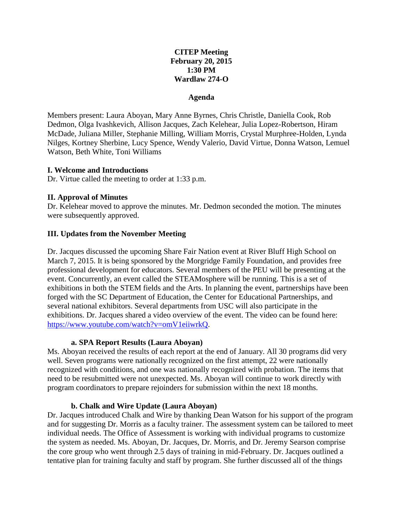# **CITEP Meeting February 20, 2015 1:30 PM Wardlaw 274-O**

### **Agenda**

Members present: Laura Aboyan, Mary Anne Byrnes, Chris Christle, Daniella Cook, Rob Dedmon, Olga Ivashkevich, Allison Jacques, Zach Kelehear, Julia Lopez-Robertson, Hiram McDade, Juliana Miller, Stephanie Milling, William Morris, Crystal Murphree-Holden, Lynda Nilges, Kortney Sherbine, Lucy Spence, Wendy Valerio, David Virtue, Donna Watson, Lemuel Watson, Beth White, Toni Williams

#### **I. Welcome and Introductions**

Dr. Virtue called the meeting to order at 1:33 p.m.

### **II. Approval of Minutes**

Dr. Kelehear moved to approve the minutes. Mr. Dedmon seconded the motion. The minutes were subsequently approved.

### **III. Updates from the November Meeting**

Dr. Jacques discussed the upcoming Share Fair Nation event at River Bluff High School on March 7, 2015. It is being sponsored by the Morgridge Family Foundation, and provides free professional development for educators. Several members of the PEU will be presenting at the event. Concurrently, an event called the STEAMosphere will be running. This is a set of exhibitions in both the STEM fields and the Arts. In planning the event, partnerships have been forged with the SC Department of Education, the Center for Educational Partnerships, and several national exhibitors. Several departments from USC will also participate in the exhibitions. Dr. Jacques shared a video overview of the event. The video can be found here: [https://www.youtube.com/watch?v=omV1eiiwrkQ.](https://www.youtube.com/watch?v=omV1eiiwrkQ)

### **a. SPA Report Results (Laura Aboyan)**

Ms. Aboyan received the results of each report at the end of January. All 30 programs did very well. Seven programs were nationally recognized on the first attempt, 22 were nationally recognized with conditions, and one was nationally recognized with probation. The items that need to be resubmitted were not unexpected. Ms. Aboyan will continue to work directly with program coordinators to prepare rejoinders for submission within the next 18 months.

#### **b. Chalk and Wire Update (Laura Aboyan)**

Dr. Jacques introduced Chalk and Wire by thanking Dean Watson for his support of the program and for suggesting Dr. Morris as a faculty trainer. The assessment system can be tailored to meet individual needs. The Office of Assessment is working with individual programs to customize the system as needed. Ms. Aboyan, Dr. Jacques, Dr. Morris, and Dr. Jeremy Searson comprise the core group who went through 2.5 days of training in mid-February. Dr. Jacques outlined a tentative plan for training faculty and staff by program. She further discussed all of the things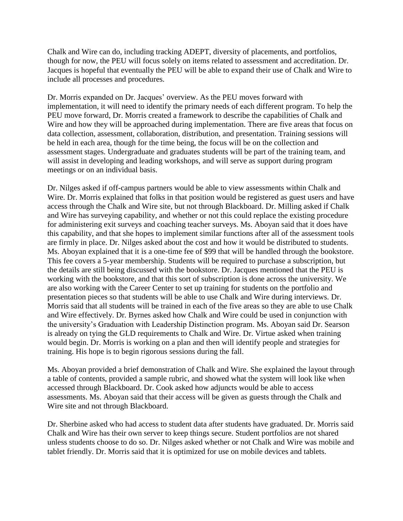Chalk and Wire can do, including tracking ADEPT, diversity of placements, and portfolios, though for now, the PEU will focus solely on items related to assessment and accreditation. Dr. Jacques is hopeful that eventually the PEU will be able to expand their use of Chalk and Wire to include all processes and procedures.

Dr. Morris expanded on Dr. Jacques' overview. As the PEU moves forward with implementation, it will need to identify the primary needs of each different program. To help the PEU move forward, Dr. Morris created a framework to describe the capabilities of Chalk and Wire and how they will be approached during implementation. There are five areas that focus on data collection, assessment, collaboration, distribution, and presentation. Training sessions will be held in each area, though for the time being, the focus will be on the collection and assessment stages. Undergraduate and graduates students will be part of the training team, and will assist in developing and leading workshops, and will serve as support during program meetings or on an individual basis.

Dr. Nilges asked if off-campus partners would be able to view assessments within Chalk and Wire. Dr. Morris explained that folks in that position would be registered as guest users and have access through the Chalk and Wire site, but not through Blackboard. Dr. Milling asked if Chalk and Wire has surveying capability, and whether or not this could replace the existing procedure for administering exit surveys and coaching teacher surveys. Ms. Aboyan said that it does have this capability, and that she hopes to implement similar functions after all of the assessment tools are firmly in place. Dr. Nilges asked about the cost and how it would be distributed to students. Ms. Aboyan explained that it is a one-time fee of \$99 that will be handled through the bookstore. This fee covers a 5-year membership. Students will be required to purchase a subscription, but the details are still being discussed with the bookstore. Dr. Jacques mentioned that the PEU is working with the bookstore, and that this sort of subscription is done across the university. We are also working with the Career Center to set up training for students on the portfolio and presentation pieces so that students will be able to use Chalk and Wire during interviews. Dr. Morris said that all students will be trained in each of the five areas so they are able to use Chalk and Wire effectively. Dr. Byrnes asked how Chalk and Wire could be used in conjunction with the university's Graduation with Leadership Distinction program. Ms. Aboyan said Dr. Searson is already on tying the GLD requirements to Chalk and Wire. Dr. Virtue asked when training would begin. Dr. Morris is working on a plan and then will identify people and strategies for training. His hope is to begin rigorous sessions during the fall.

Ms. Aboyan provided a brief demonstration of Chalk and Wire. She explained the layout through a table of contents, provided a sample rubric, and showed what the system will look like when accessed through Blackboard. Dr. Cook asked how adjuncts would be able to access assessments. Ms. Aboyan said that their access will be given as guests through the Chalk and Wire site and not through Blackboard.

Dr. Sherbine asked who had access to student data after students have graduated. Dr. Morris said Chalk and Wire has their own server to keep things secure. Student portfolios are not shared unless students choose to do so. Dr. Nilges asked whether or not Chalk and Wire was mobile and tablet friendly. Dr. Morris said that it is optimized for use on mobile devices and tablets.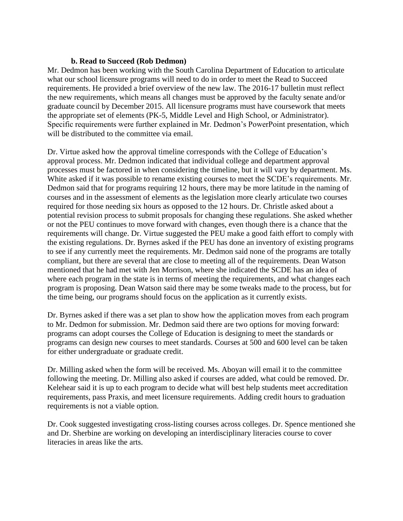### **b. Read to Succeed (Rob Dedmon)**

Mr. Dedmon has been working with the South Carolina Department of Education to articulate what our school licensure programs will need to do in order to meet the Read to Succeed requirements. He provided a brief overview of the new law. The 2016-17 bulletin must reflect the new requirements, which means all changes must be approved by the faculty senate and/or graduate council by December 2015. All licensure programs must have coursework that meets the appropriate set of elements (PK-5, Middle Level and High School, or Administrator). Specific requirements were further explained in Mr. Dedmon's PowerPoint presentation, which will be distributed to the committee via email.

Dr. Virtue asked how the approval timeline corresponds with the College of Education's approval process. Mr. Dedmon indicated that individual college and department approval processes must be factored in when considering the timeline, but it will vary by department. Ms. White asked if it was possible to rename existing courses to meet the SCDE's requirements. Mr. Dedmon said that for programs requiring 12 hours, there may be more latitude in the naming of courses and in the assessment of elements as the legislation more clearly articulate two courses required for those needing six hours as opposed to the 12 hours. Dr. Christle asked about a potential revision process to submit proposals for changing these regulations. She asked whether or not the PEU continues to move forward with changes, even though there is a chance that the requirements will change. Dr. Virtue suggested the PEU make a good faith effort to comply with the existing regulations. Dr. Byrnes asked if the PEU has done an inventory of existing programs to see if any currently meet the requirements. Mr. Dedmon said none of the programs are totally compliant, but there are several that are close to meeting all of the requirements. Dean Watson mentioned that he had met with Jen Morrison, where she indicated the SCDE has an idea of where each program in the state is in terms of meeting the requirements, and what changes each program is proposing. Dean Watson said there may be some tweaks made to the process, but for the time being, our programs should focus on the application as it currently exists.

Dr. Byrnes asked if there was a set plan to show how the application moves from each program to Mr. Dedmon for submission. Mr. Dedmon said there are two options for moving forward: programs can adopt courses the College of Education is designing to meet the standards or programs can design new courses to meet standards. Courses at 500 and 600 level can be taken for either undergraduate or graduate credit.

Dr. Milling asked when the form will be received. Ms. Aboyan will email it to the committee following the meeting. Dr. Milling also asked if courses are added, what could be removed. Dr. Kelehear said it is up to each program to decide what will best help students meet accreditation requirements, pass Praxis, and meet licensure requirements. Adding credit hours to graduation requirements is not a viable option.

Dr. Cook suggested investigating cross-listing courses across colleges. Dr. Spence mentioned she and Dr. Sherbine are working on developing an interdisciplinary literacies course to cover literacies in areas like the arts.